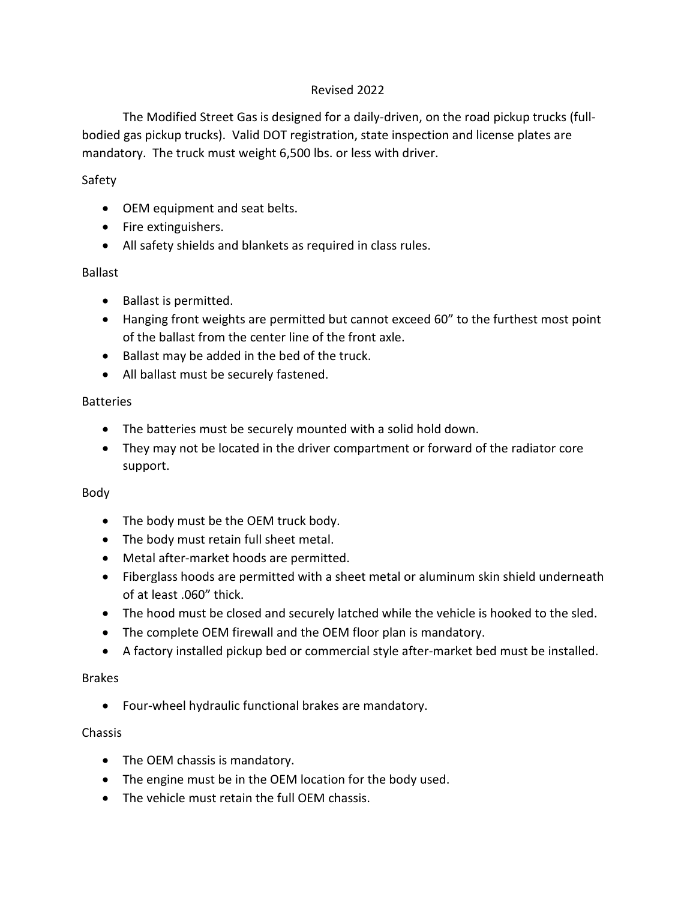## Revised 2022

The Modified Street Gas is designed for a daily-driven, on the road pickup trucks (fullbodied gas pickup trucks). Valid DOT registration, state inspection and license plates are mandatory. The truck must weight 6,500 lbs. or less with driver.

# Safety

- OEM equipment and seat belts.
- Fire extinguishers.
- All safety shields and blankets as required in class rules.

# Ballast

- Ballast is permitted.
- Hanging front weights are permitted but cannot exceed 60" to the furthest most point of the ballast from the center line of the front axle.
- Ballast may be added in the bed of the truck.
- All ballast must be securely fastened.

# **Batteries**

- The batteries must be securely mounted with a solid hold down.
- They may not be located in the driver compartment or forward of the radiator core support.

# Body

- The body must be the OEM truck body.
- The body must retain full sheet metal.
- Metal after-market hoods are permitted.
- Fiberglass hoods are permitted with a sheet metal or aluminum skin shield underneath of at least .060" thick.
- The hood must be closed and securely latched while the vehicle is hooked to the sled.
- The complete OEM firewall and the OEM floor plan is mandatory.
- A factory installed pickup bed or commercial style after-market bed must be installed.

## Brakes

• Four-wheel hydraulic functional brakes are mandatory.

# Chassis

- The OEM chassis is mandatory.
- The engine must be in the OEM location for the body used.
- The vehicle must retain the full OEM chassis.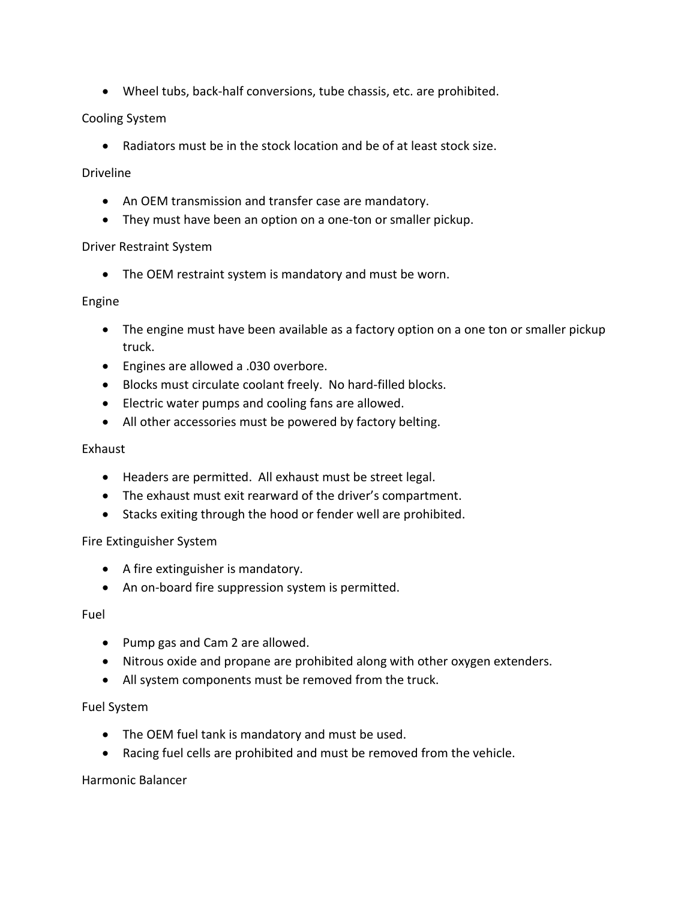• Wheel tubs, back-half conversions, tube chassis, etc. are prohibited.

## Cooling System

• Radiators must be in the stock location and be of at least stock size.

### Driveline

- An OEM transmission and transfer case are mandatory.
- They must have been an option on a one-ton or smaller pickup.

#### Driver Restraint System

• The OEM restraint system is mandatory and must be worn.

#### Engine

- The engine must have been available as a factory option on a one ton or smaller pickup truck.
- Engines are allowed a .030 overbore.
- Blocks must circulate coolant freely. No hard-filled blocks.
- Electric water pumps and cooling fans are allowed.
- All other accessories must be powered by factory belting.

### Exhaust

- Headers are permitted. All exhaust must be street legal.
- The exhaust must exit rearward of the driver's compartment.
- Stacks exiting through the hood or fender well are prohibited.

## Fire Extinguisher System

- A fire extinguisher is mandatory.
- An on-board fire suppression system is permitted.

#### Fuel

- Pump gas and Cam 2 are allowed.
- Nitrous oxide and propane are prohibited along with other oxygen extenders.
- All system components must be removed from the truck.

#### Fuel System

- The OEM fuel tank is mandatory and must be used.
- Racing fuel cells are prohibited and must be removed from the vehicle.

## Harmonic Balancer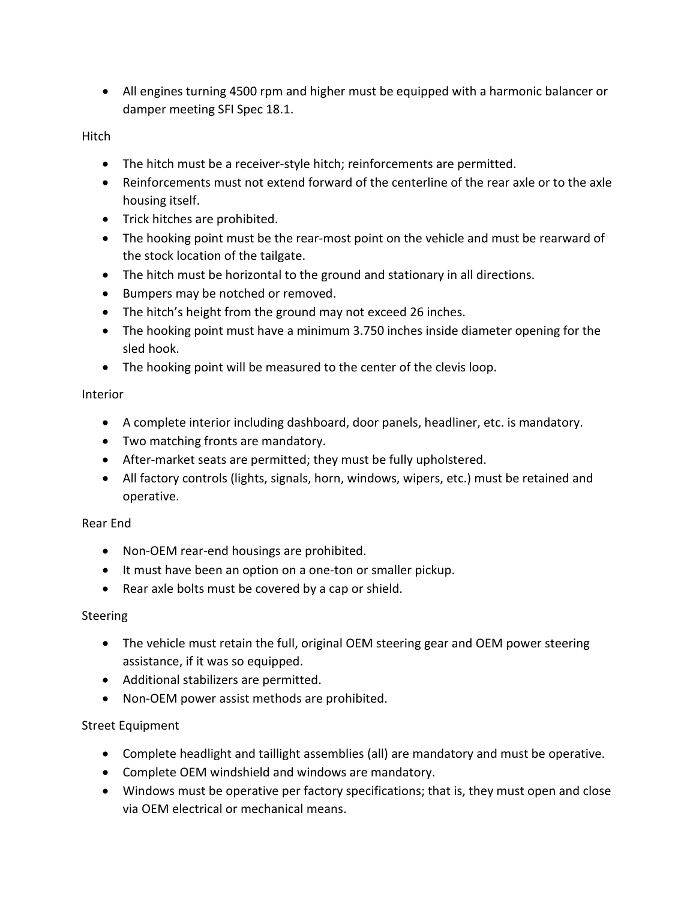• All engines turning 4500 rpm and higher must be equipped with a harmonic balancer or damper meeting SFI Spec 18.1.

Hitch

- The hitch must be a receiver-style hitch; reinforcements are permitted.
- Reinforcements must not extend forward of the centerline of the rear axle or to the axle housing itself.
- Trick hitches are prohibited.
- The hooking point must be the rear-most point on the vehicle and must be rearward of the stock location of the tailgate.
- The hitch must be horizontal to the ground and stationary in all directions.
- Bumpers may be notched or removed.
- The hitch's height from the ground may not exceed 26 inches.
- The hooking point must have a minimum 3.750 inches inside diameter opening for the sled hook.
- The hooking point will be measured to the center of the clevis loop.

#### Interior

- A complete interior including dashboard, door panels, headliner, etc. is mandatory.
- Two matching fronts are mandatory.
- After-market seats are permitted; they must be fully upholstered.
- All factory controls (lights, signals, horn, windows, wipers, etc.) must be retained and operative.

## Rear End

- Non-OEM rear-end housings are prohibited.
- It must have been an option on a one-ton or smaller pickup.
- Rear axle bolts must be covered by a cap or shield.

## Steering

- The vehicle must retain the full, original OEM steering gear and OEM power steering assistance, if it was so equipped.
- Additional stabilizers are permitted.
- Non-OEM power assist methods are prohibited.

## Street Equipment

- Complete headlight and taillight assemblies (all) are mandatory and must be operative.
- Complete OEM windshield and windows are mandatory.
- Windows must be operative per factory specifications; that is, they must open and close via OEM electrical or mechanical means.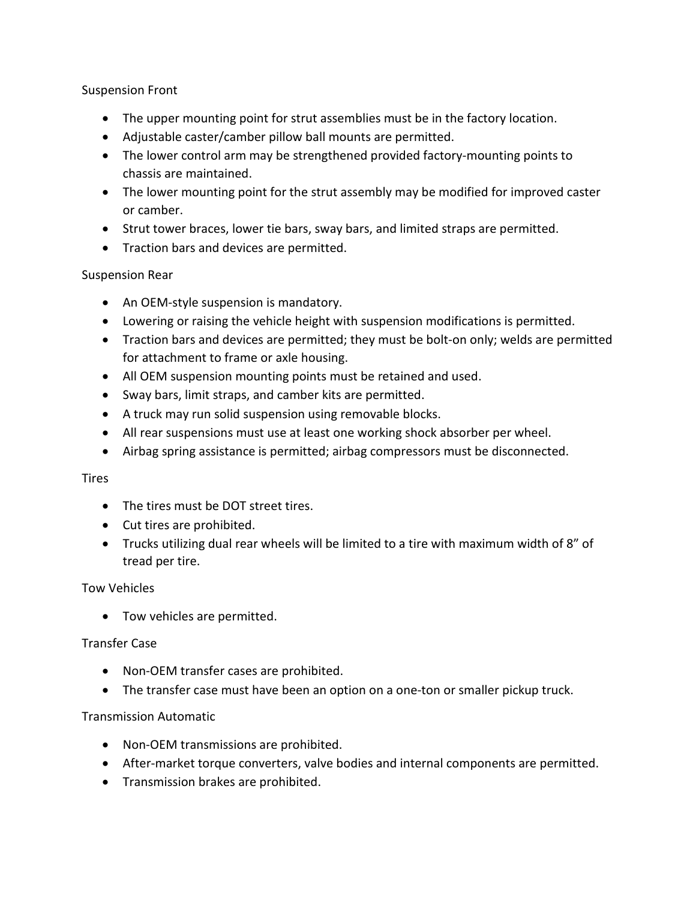### Suspension Front

- The upper mounting point for strut assemblies must be in the factory location.
- Adjustable caster/camber pillow ball mounts are permitted.
- The lower control arm may be strengthened provided factory-mounting points to chassis are maintained.
- The lower mounting point for the strut assembly may be modified for improved caster or camber.
- Strut tower braces, lower tie bars, sway bars, and limited straps are permitted.
- Traction bars and devices are permitted.

#### Suspension Rear

- An OEM-style suspension is mandatory.
- Lowering or raising the vehicle height with suspension modifications is permitted.
- Traction bars and devices are permitted; they must be bolt-on only; welds are permitted for attachment to frame or axle housing.
- All OEM suspension mounting points must be retained and used.
- Sway bars, limit straps, and camber kits are permitted.
- A truck may run solid suspension using removable blocks.
- All rear suspensions must use at least one working shock absorber per wheel.
- Airbag spring assistance is permitted; airbag compressors must be disconnected.

#### **Tires**

- The tires must be DOT street tires.
- Cut tires are prohibited.
- Trucks utilizing dual rear wheels will be limited to a tire with maximum width of 8" of tread per tire.

#### Tow Vehicles

• Tow vehicles are permitted.

#### Transfer Case

- Non-OEM transfer cases are prohibited.
- The transfer case must have been an option on a one-ton or smaller pickup truck.

#### Transmission Automatic

- Non-OEM transmissions are prohibited.
- After-market torque converters, valve bodies and internal components are permitted.
- Transmission brakes are prohibited.